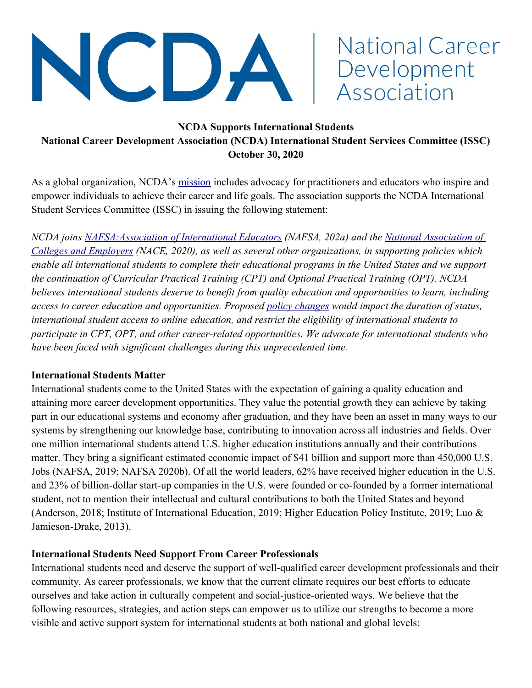

# National Career Development Association

## **NCDA Supports International Students National Career Development Association (NCDA) International Student Services Committee (ISSC) October 30, 2020**

As a global organization, NCDA's [mission](https://www.ncda.org/aws/NCDA/pt/sp/about) includes advocacy for practitioners and educators who inspire and empower individuals to achieve their career and life goals. The association supports the NCDA International Student Services Committee (ISSC) in issuing the following statement:

*NCDA joins [NAFSA:Association of International Educators](https://www.nafsa.org/about/about-nafsa/dhs-issues-proposed-rule-eliminate-decades-long-duration-status-policy) (NAFSA, 202a) and the [National Association of](https://www.naceweb.org/about-us/advocacy/position-statements/nace-position-statement-ice-pronouncement-regarding-international-students-and-online-classes/)  [Colleges and Employers](https://www.naceweb.org/about-us/advocacy/position-statements/nace-position-statement-ice-pronouncement-regarding-international-students-and-online-classes/) (NACE, 2020), as well as several other organizations, in supporting policies which enable all international students to complete their educational programs in the United States and we support the continuation of Curricular Practical Training (CPT) and Optional Practical Training (OPT). NCDA believes international students deserve to benefit from quality education and opportunities to learn, including access to career education and opportunities. Proposed [policy changes](https://www.dhs.gov/news/2020/09/24/dhs-proposes-change-admission-period-structure-f-j-and-i-nonimmigrants) would impact the duration of status, international student access to online education, and restrict the eligibility of international students to participate in CPT, OPT, and other career-related opportunities. We advocate for international students who have been faced with significant challenges during this unprecedented time.* 

#### **International Students Matter**

International students come to the United States with the expectation of gaining a quality education and attaining more career development opportunities. They value the potential growth they can achieve by taking part in our educational systems and economy after graduation, and they have been an asset in many ways to our systems by strengthening our knowledge base, contributing to innovation across all industries and fields. Over one million international students attend U.S. higher education institutions annually and their contributions matter. They bring a significant estimated economic impact of \$41 billion and support more than 450,000 U.S. Jobs (NAFSA, 2019; NAFSA 2020b). Of all the world leaders, 62% have received higher education in the U.S. and 23% of billion-dollar start-up companies in the U.S. were founded or co-founded by a former international student, not to mention their intellectual and cultural contributions to both the United States and beyond (Anderson, 2018; Institute of International Education, 2019; Higher Education Policy Institute, 2019; Luo & Jamieson-Drake, 2013).

## **International Students Need Support From Career Professionals**

International students need and deserve the support of well-qualified career development professionals and their community. As career professionals, we know that the current climate requires our best efforts to educate ourselves and take action in culturally competent and social-justice-oriented ways. We believe that the following resources, strategies, and action steps can empower us to utilize our strengths to become a more visible and active support system for international students at both national and global levels: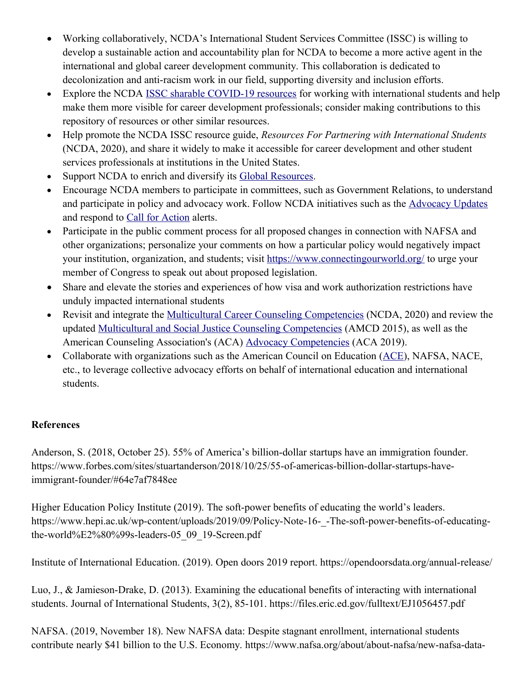- Working collaboratively, NCDA's International Student Services Committee (ISSC) is willing to develop a sustainable action and accountability plan for NCDA to become a more active agent in the international and global career development community. This collaboration is dedicated to decolonization and anti-racism work in our field, supporting diversity and inclusion efforts.
- Explore the NCDA [ISSC sharable COVID-19 resources](https://docs.google.com/spreadsheets/d/1w9DL3z5eT3STtMt7abOM6tSb25bM1lu2Qzekm6yK2Dg/edit#gid=0) for working with international students and help make them more visible for career development professionals; consider making contributions to this repository of resources or other similar resources.
- Help promote the NCDA ISSC resource guide, *Resources For Partnering with International Students* (NCDA, 2020), and share it widely to make it accessible for career development and other student services professionals at institutions in the United States.
- Support NCDA to enrich and diversify its [Global Resources.](https://www.ncda.org/aws/NCDA/pt/sp/global_resources)
- Encourage NCDA members to participate in committees, such as Government Relations, to understand and participate in policy and advocacy work. Follow NCDA initiatives such as the [Advocacy Updates](https://ncda.org/aws/NCDA/pt/sp/govtrelations) and respond to [Call for Action](https://ncda.org/aws/NCDA/pt/sp/govtrelations) alerts.
- Participate in the public comment process for all proposed changes in connection with NAFSA and other organizations; personalize your comments on how a particular policy would negatively impact your institution, organization, and students; visit<https://www.connectingourworld.org/>to urge your member of Congress to speak out about proposed legislation.
- Share and elevate the stories and experiences of how visa and work authorization restrictions have unduly impacted international students
- Revisit and integrate the [Multicultural Career Counseling Competencies](https://www.ncda.org/aws/NCDA/asset_manager/get_file/26627) (NCDA, 2020) and review the updated [Multicultural and Social Justice Counseling Competencies](https://www.counseling.org/docs/default-source/competencies/multicultural-and-social-justice-counseling-competencies.pdf?sfvrsn=20) (AMCD 2015), as well as the American Counseling Association's (ACA) [Advocacy Competencies](https://www.counseling.org/knowledge-center/competencies) (ACA 2019).
- Collaborate with organizations such as the American Council on Education [\(ACE\)](https://www.acenet.edu/), NAFSA, NACE, etc., to leverage collective advocacy efforts on behalf of international education and international students.

## **References**

Anderson, S. (2018, October 25). 55% of America's billion-dollar startups have an immigration founder. https://www.forbes.com/sites/stuartanderson/2018/10/25/55-of-americas-billion-dollar-startups-haveimmigrant-founder/#64e7af7848ee

Higher Education Policy Institute (2019). The soft-power benefits of educating the world's leaders. https://www.hepi.ac.uk/wp-content/uploads/2019/09/Policy-Note-16-\_-The-soft-power-benefits-of-educatingthe-world%E2%80%99s-leaders-05\_09\_19-Screen.pdf

Institute of International Education. (2019). Open doors 2019 report. https://opendoorsdata.org/annual-release/

Luo, J., & Jamieson-Drake, D. (2013). Examining the educational benefits of interacting with international students. Journal of International Students, 3(2), 85-101. https://files.eric.ed.gov/fulltext/EJ1056457.pdf

NAFSA. (2019, November 18). New NAFSA data: Despite stagnant enrollment, international students contribute nearly \$41 billion to the U.S. Economy. https://www.nafsa.org/about/about-nafsa/new-nafsa-data